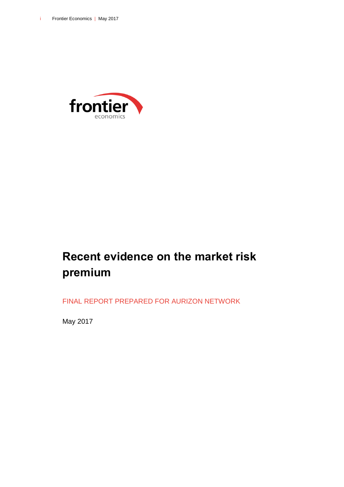

# **Recent evidence on the market risk premium**

FINAL REPORT PREPARED FOR AURIZON NETWORK

May 2017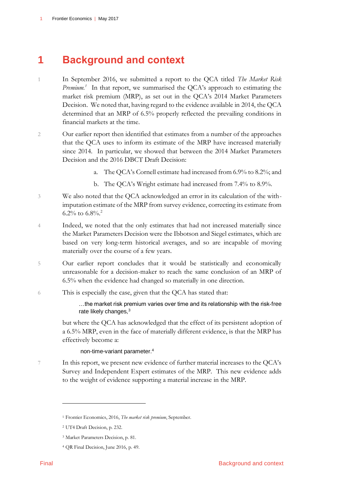# **1 Background and context**

- 1 In September 2016, we submitted a report to the QCA titled *The Market Risk Premium.<sup>1</sup>* In that report, we summarised the QCA's approach to estimating the market risk premium (MRP), as set out in the QCA's 2014 Market Parameters Decision. We noted that, having regard to the evidence available in 2014, the QCA determined that an MRP of 6.5% properly reflected the prevailing conditions in financial markets at the time.
- 2 Our earlier report then identified that estimates from a number of the approaches that the QCA uses to inform its estimate of the MRP have increased materially since 2014. In particular, we showed that between the 2014 Market Parameters Decision and the 2016 DBCT Draft Decision:
	- a. The QCA's Cornell estimate had increased from 6.9% to 8.2%; and
	- b. The QCA's Wright estimate had increased from 7.4% to 8.9%.
- 3 We also noted that the QCA acknowledged an error in its calculation of the withimputation estimate of the MRP from survey evidence, correcting its estimate from 6.2% to  $6.8\%$ <sup>2</sup>
- 4 Indeed, we noted that the only estimates that had not increased materially since the Market Parameters Decision were the Ibbotson and Siegel estimates, which are based on very long-term historical averages, and so are incapable of moving materially over the course of a few years.
- 5 Our earlier report concludes that it would be statistically and economically unreasonable for a decision-maker to reach the same conclusion of an MRP of 6.5% when the evidence had changed so materially in one direction.
- 6 This is especially the case, given that the QCA has stated that:

…the market risk premium varies over time and its relationship with the risk‐free rate likely changes, $3$ 

but where the QCA has acknowledged that the effect of its persistent adoption of a 6.5% MRP, even in the face of materially different evidence, is that the MRP has effectively become a:

### non-time-variant parameter.<sup>4</sup>

7 In this report, we present new evidence of further material increases to the QCA's Survey and Independent Expert estimates of the MRP. This new evidence adds to the weight of evidence supporting a material increase in the MRP.

<sup>1</sup> Frontier Economics, 2016, *The market risk premium*, September.

<sup>2</sup> UT4 Draft Decision, p. 232.

<sup>3</sup> Market Parameters Decision, p. 81.

<sup>4</sup> QR Final Decision, June 2016, p. 49.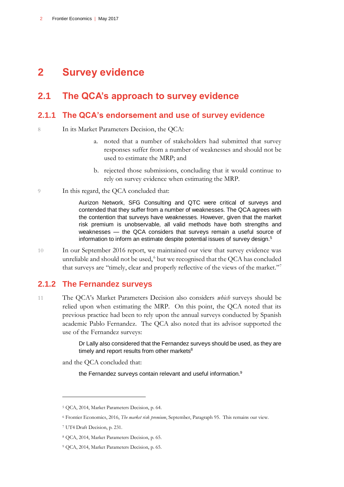# **2 Survey evidence**

## **2.1 The QCA's approach to survey evidence**

### **2.1.1 The QCA's endorsement and use of survey evidence**

8 In its Market Parameters Decision, the QCA:

- a. noted that a number of stakeholders had submitted that survey responses suffer from a number of weaknesses and should not be used to estimate the MRP; and
- b. rejected those submissions, concluding that it would continue to rely on survey evidence when estimating the MRP.
- 9 In this regard, the QCA concluded that:

Aurizon Network, SFG Consulting and QTC were critical of surveys and contended that they suffer from a number of weaknesses. The QCA agrees with the contention that surveys have weaknesses. However, given that the market risk premium is unobservable, all valid methods have both strengths and weaknesses — the QCA considers that surveys remain a useful source of information to inform an estimate despite potential issues of survey design.<sup>5</sup>

10 In our September 2016 report, we maintained our view that survey evidence was unreliable and should not be used,<sup>6</sup> but we recognised that the QCA has concluded that surveys are "timely, clear and properly reflective of the views of the market."<sup>7</sup>

## **2.1.2 The Fernandez surveys**

11 The QCA's Market Parameters Decision also considers *which* surveys should be relied upon when estimating the MRP. On this point, the QCA noted that its previous practice had been to rely upon the annual surveys conducted by Spanish academic Pablo Fernandez. The QCA also noted that its advisor supported the use of the Fernandez surveys:

> Dr Lally also considered that the Fernandez surveys should be used, as they are timely and report results from other markets<sup>8</sup>

and the QCA concluded that:

the Fernandez surveys contain relevant and useful information.<sup>9</sup>

<sup>5</sup> QCA, 2014, Market Parameters Decision, p. 64.

<sup>6</sup> Frontier Economics, 2016, *The market risk premium*, September, Paragraph 95. This remains our view.

<sup>7</sup> UT4 Draft Decision, p. 231.

<sup>8</sup> QCA, 2014, Market Parameters Decision, p. 65.

<sup>9</sup> QCA, 2014, Market Parameters Decision, p. 65.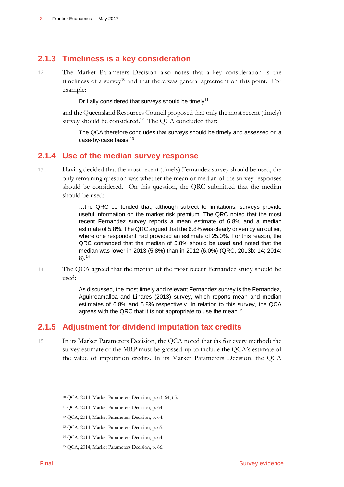## **2.1.3 Timeliness is a key consideration**

12 The Market Parameters Decision also notes that a key consideration is the timeliness of a survey<sup>10</sup> and that there was general agreement on this point. For example:

#### Dr Lally considered that surveys should be timely<sup>11</sup>

and the Queensland Resources Council proposed that only the most recent (timely) survey should be considered.<sup>12</sup> The QCA concluded that:

The QCA therefore concludes that surveys should be timely and assessed on a case‐by‐case basis.<sup>13</sup>

### **2.1.4 Use of the median survey response**

13 Having decided that the most recent (timely) Fernandez survey should be used, the only remaining question was whether the mean or median of the survey responses should be considered. On this question, the QRC submitted that the median should be used:

> …the QRC contended that, although subject to limitations, surveys provide useful information on the market risk premium. The QRC noted that the most recent Fernandez survey reports a mean estimate of 6.8% and a median estimate of 5.8%. The QRC argued that the 6.8% was clearly driven by an outlier, where one respondent had provided an estimate of 25.0%. For this reason, the QRC contended that the median of 5.8% should be used and noted that the median was lower in 2013 (5.8%) than in 2012 (6.0%) (QRC, 2013b: 14; 2014: 8).<sup>14</sup>

14 The QCA agreed that the median of the most recent Fernandez study should be used:

> As discussed, the most timely and relevant Fernandez survey is the Fernandez, Aguirreamalloa and Linares (2013) survey, which reports mean and median estimates of 6.8% and 5.8% respectively. In relation to this survey, the QCA agrees with the QRC that it is not appropriate to use the mean.<sup>15</sup>

## **2.1.5 Adjustment for dividend imputation tax credits**

15 In its Market Parameters Decision, the QCA noted that (as for every method) the survey estimate of the MRP must be grossed-up to include the QCA's estimate of the value of imputation credits. In its Market Parameters Decision, the QCA

-

<sup>10</sup> QCA, 2014, Market Parameters Decision, p. 63, 64, 65.

<sup>11</sup> QCA, 2014, Market Parameters Decision, p. 64.

<sup>12</sup> QCA, 2014, Market Parameters Decision, p. 64.

<sup>13</sup> QCA, 2014, Market Parameters Decision, p. 65.

<sup>14</sup> QCA, 2014, Market Parameters Decision, p. 64.

<sup>15</sup> QCA, 2014, Market Parameters Decision, p. 66.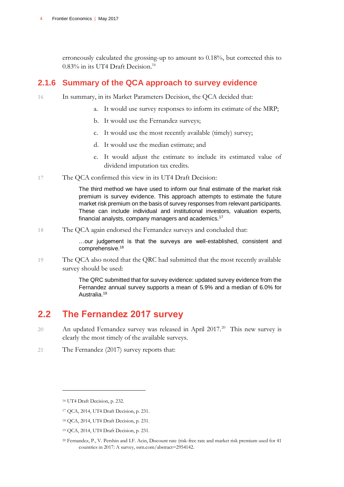erroneously calculated the grossing-up to amount to 0.18%, but corrected this to  $0.83\%$  in its UT4 Draft Decision.<sup>16</sup>

### **2.1.6 Summary of the QCA approach to survey evidence**

- 16 In summary, in its Market Parameters Decision, the QCA decided that:
	- a. It would use survey responses to inform its estimate of the MRP;
	- b. It would use the Fernandez surveys;
	- c. It would use the most recently available (timely) survey;
	- d. It would use the median estimate; and
	- e. It would adjust the estimate to include its estimated value of dividend imputation tax credits.
- 17 The QCA confirmed this view in its UT4 Draft Decision:

The third method we have used to inform our final estimate of the market risk premium is survey evidence. This approach attempts to estimate the future market risk premium on the basis of survey responses from relevant participants. These can include individual and institutional investors, valuation experts, financial analysts, company managers and academics.<sup>17</sup>

18 The QCA again endorsed the Fernandez surveys and concluded that:

…our judgement is that the surveys are well-established, consistent and comprehensive.<sup>18</sup>

19 The QCA also noted that the QRC had submitted that the most recently available survey should be used:

> The QRC submitted that for survey evidence: updated survey evidence from the Fernandez annual survey supports a mean of 5.9% and a median of 6.0% for Australia.<sup>19</sup>

## **2.2 The Fernandez 2017 survey**

- 20 An updated Fernandez survey was released in April 2017.<sup>20</sup> This new survey is clearly the most timely of the available surveys.
- 21 The Fernandez (2017) survey reports that:

<sup>16</sup> UT4 Draft Decision, p. 232.

<sup>17</sup> QCA, 2014, UT4 Draft Decision, p. 231.

<sup>18</sup> QCA, 2014, UT4 Draft Decision, p. 231.

<sup>19</sup> QCA, 2014, UT4 Draft Decision, p. 231.

<sup>20</sup> Fernandez, P., V. Pershin and I.F. Acin, Discount rate (risk-free rate and market risk premium used for 41 countries in 2017: A survey, ssrn.com/abstract=2954142.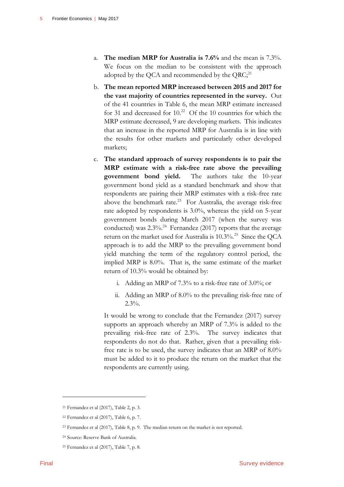- a. **The median MRP for Australia is 7.6%** and the mean is 7.3%. We focus on the median to be consistent with the approach adopted by the QCA and recommended by the  $QRC;^{21}$
- b. **The mean reported MRP increased between 2015 and 2017 for the vast majority of countries represented in the survey.** Out of the 41 countries in Table 6, the mean MRP estimate increased for 31 and decreased for  $10<sup>22</sup>$  Of the 10 countries for which the MRP estimate decreased, 9 are developing markets. This indicates that an increase in the reported MRP for Australia is in line with the results for other markets and particularly other developed markets;
- c. **The standard approach of survey respondents is to pair the MRP estimate with a risk-free rate above the prevailing government bond yield.** The authors take the 10-year government bond yield as a standard benchmark and show that respondents are pairing their MRP estimates with a risk-free rate above the benchmark rate.<sup>23</sup> For Australia, the average risk-free rate adopted by respondents is 3.0%, whereas the yield on 5-year government bonds during March 2017 (when the survey was conducted) was  $2.3\%$ .<sup>24</sup> Fernandez (2017) reports that the average return on the market used for Australia is 10.3%.<sup>25</sup> Since the QCA approach is to add the MRP to the prevailing government bond yield matching the term of the regulatory control period, the implied MRP is 8.0%. That is, the same estimate of the market return of 10.3% would be obtained by:
	- i. Adding an MRP of 7.3% to a risk-free rate of 3.0%; or
	- ii. Adding an MRP of 8.0% to the prevailing risk-free rate of  $2.3\%$ .

It would be wrong to conclude that the Fernandez (2017) survey supports an approach whereby an MRP of 7.3% is added to the prevailing risk-free rate of 2.3%. The survey indicates that respondents do not do that. Rather, given that a prevailing riskfree rate is to be used, the survey indicates that an MRP of 8.0% must be added to it to produce the return on the market that the respondents are currently using.

<sup>21</sup> Fernandez et al (2017), Table 2, p. 3.

<sup>22</sup> Fernandez et al (2017), Table 6, p. 7.

<sup>23</sup> Fernandez et al (2017), Table 8, p. 9. The median return on the market is not reported.

<sup>24</sup> Source: Reserve Bank of Australia.

<sup>25</sup> Fernandez et al (2017), Table 7, p. 8.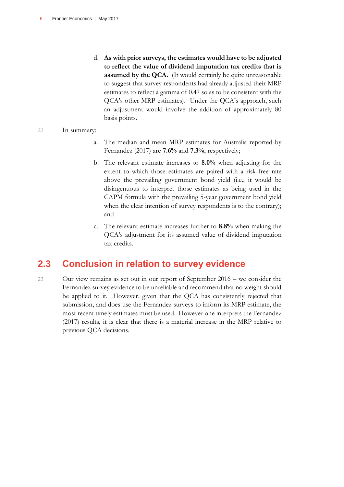d. **As with prior surveys, the estimates would have to be adjusted to reflect the value of dividend imputation tax credits that is assumed by the QCA.** (It would certainly be quite unreasonable to suggest that survey respondents had already adjusted their MRP estimates to reflect a gamma of 0.47 so as to be consistent with the QCA's other MRP estimates). Under the QCA's approach, such an adjustment would involve the addition of approximately 80 basis points.

#### 22 In summary:

- a. The median and mean MRP estimates for Australia reported by Fernandez (2017) are **7.6%** and **7.3%**, respectively;
- b. The relevant estimate increases to **8.0%** when adjusting for the extent to which those estimates are paired with a risk-free rate above the prevailing government bond yield (i.e., it would be disingenuous to interpret those estimates as being used in the CAPM formula with the prevailing 5-year government bond yield when the clear intention of survey respondents is to the contrary); and
- c. The relevant estimate increases further to **8.8%** when making the QCA's adjustment for its assumed value of dividend imputation tax credits.

## **2.3 Conclusion in relation to survey evidence**

23 Our view remains as set out in our report of September 2016 – we consider the Fernandez survey evidence to be unreliable and recommend that no weight should be applied to it. However, given that the QCA has consistently rejected that submission, and does use the Fernandez surveys to inform its MRP estimate, the most recent timely estimates must be used. However one interprets the Fernandez (2017) results, it is clear that there is a material increase in the MRP relative to previous QCA decisions.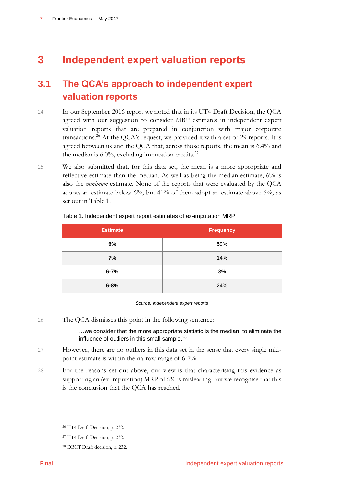# **3 Independent expert valuation reports**

# **3.1 The QCA's approach to independent expert valuation reports**

- 24 In our September 2016 report we noted that in its UT4 Draft Decision, the QCA agreed with our suggestion to consider MRP estimates in independent expert valuation reports that are prepared in conjunction with major corporate transactions.<sup>26</sup> At the QCA's request, we provided it with a set of 29 reports. It is agreed between us and the QCA that, across those reports, the mean is 6.4% and the median is  $6.0\%$ , excluding imputation credits.<sup>27</sup>
- 25 We also submitted that, for this data set, the mean is a more appropriate and reflective estimate than the median. As well as being the median estimate, 6% is also the *minimum* estimate. None of the reports that were evaluated by the QCA adopts an estimate below  $6\%$ , but  $41\%$  of them adopt an estimate above  $6\%$ , as set out in [Table 1.](#page-8-0)

| <b>Estimate</b> | <b>Frequency</b> |
|-----------------|------------------|
| 6%              | 59%              |
| 7%              | 14%              |
| $6 - 7%$        | 3%               |
| $6 - 8%$        | 24%              |

#### <span id="page-8-0"></span>Table 1. Independent expert report estimates of ex-imputation MRP

*Source: Independent expert reports*

26 The QCA dismisses this point in the following sentence:

…we consider that the more appropriate statistic is the median, to eliminate the influence of outliers in this small sample.<sup>28</sup>

- 27 However, there are no outliers in this data set in the sense that every single midpoint estimate is within the narrow range of 6-7%.
- 28 For the reasons set out above, our view is that characterising this evidence as supporting an (ex-imputation) MRP of 6% is misleading, but we recognise that this is the conclusion that the QCA has reached.

<sup>26</sup> UT4 Draft Decision, p. 232.

<sup>27</sup> UT4 Draft Decision, p. 232.

<sup>28</sup> DBCT Draft decision, p. 232.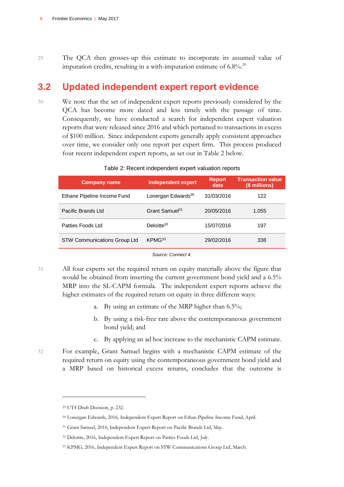29 The QCA then grosses-up this estimate to incorporate its assumed value of imputation credits, resulting in a with-imputation estimate of  $6.8\%$ <sup>29</sup>

## **3.2 Updated independent expert report evidence**

30 We note that the set of independent expert reports previously considered by the QCA has become more dated and less timely with the passage of time. Consequently, we have conducted a search for independent expert valuation reports that were released since 2016 and which pertained to transactions in excess of \$100 million. Since independent experts generally apply consistent approaches over time, we consider only one report per expert firm. This process produced four recent independent expert reports, as set out in Table 2 below.

| <b>Company name</b>                 | <b>Independent expert</b>      | <b>Report</b><br>date | <b>Transaction value</b><br>(\$ millions) |
|-------------------------------------|--------------------------------|-----------------------|-------------------------------------------|
| Ethane Pipeline Income Fund         | Lonergan Edwards <sup>30</sup> | 31/03/2016            | 122                                       |
| Pacific Brands Ltd                  | Grant Samuel <sup>31</sup>     | 20/05/2016            | 1,055                                     |
| Patties Foods Ltd                   | Deloitte <sup>32</sup>         | 15/07/2016            | 197                                       |
| <b>STW Communications Group Ltd</b> | KPMG <sup>33</sup>             | 29/02/2016            | 338                                       |

#### Table 2: Recent independent expert valuation reports

*Source: Connect 4.*

31 All four experts set the required return on equity materially above the figure that would be obtained from inserting the current government bond yield and a 6.5% MRP into the SL-CAPM formula. The independent expert reports achieve the higher estimates of the required return on equity in three different ways:

- a. By using an estimate of the MRP higher than 6.5%;
- b. By using a risk-free rate above the contemporaneous government bond yield; and
- c. By applying an ad hoc increase to the mechanistic CAPM estimate.
- 32 For example, Grant Samuel begins with a mechanistic CAPM estimate of the required return on equity using the contemporaneous government bond yield and a MRP based on historical excess returns, concludes that the outcome is

<sup>29</sup> UT4 Draft Decision, p. 232.

<sup>30</sup> Lonergan Edwards, 2016, Independent Expert Report on Ethan Pipeline Income Fund, April.

<sup>31</sup> Grant Samuel, 2016, Independent Expert Report on Pacific Brands Ltd, May.

<sup>32</sup> Deloitte, 2016, Independent Expert Report on Patties Foods Ltd, July.

<sup>33</sup> KPMG, 2016, Independent Expert Report on STW Communications Group Ltd, March.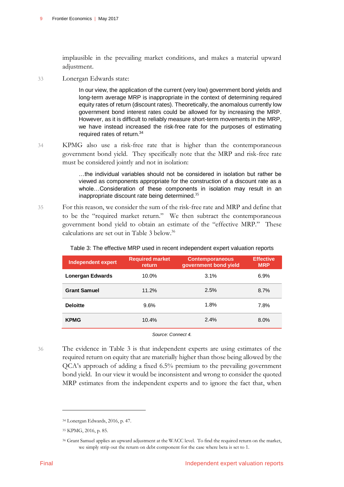implausible in the prevailing market conditions, and makes a material upward adjustment.

33 Lonergan Edwards state:

In our view, the application of the current (very low) government bond yields and long-term average MRP is inappropriate in the context of determining required equity rates of return (discount rates). Theoretically, the anomalous currently low government bond interest rates could be allowed for by increasing the MRP. However, as it is difficult to reliably measure short-term movements in the MRP, we have instead increased the risk-free rate for the purposes of estimating required rates of return.<sup>34</sup>

34 KPMG also use a risk-free rate that is higher than the contemporaneous government bond yield. They specifically note that the MRP and risk-free rate must be considered jointly and not in isolation:

> …the individual variables should not be considered in isolation but rather be viewed as components appropriate for the construction of a discount rate as a whole…Consideration of these components in isolation may result in an inappropriate discount rate being determined.<sup>35</sup>

35 For this reason, we consider the sum of the risk-free rate and MRP and define that to be the "required market return." We then subtract the contemporaneous government bond yield to obtain an estimate of the "effective MRP." These calculations are set out in Table 3 below.<sup>36</sup>

| Independent expert      | <b>Required market</b><br>return | <b>Contemporaneous</b><br>government bond yield | <b>Effective</b><br><b>MRP</b> |
|-------------------------|----------------------------------|-------------------------------------------------|--------------------------------|
| <b>Lonergan Edwards</b> | 10.0%                            | 3.1%                                            | 6.9%                           |
| <b>Grant Samuel</b>     | 11.2%                            | 2.5%                                            | 8.7%                           |
| <b>Deloitte</b>         | 9.6%                             | 1.8%                                            | 7.8%                           |
| <b>KPMG</b>             | 10.4%                            | 2.4%                                            | 8.0%                           |

Table 3: The effective MRP used in recent independent expert valuation reports

*Source: Connect 4.*

36 The evidence in Table 3 is that independent experts are using estimates of the required return on equity that are materially higher than those being allowed by the QCA's approach of adding a fixed 6.5% premium to the prevailing government bond yield. In our view it would be inconsistent and wrong to consider the quoted MRP estimates from the independent experts and to ignore the fact that, when

<sup>34</sup> Lonergan Edwards, 2016, p. 47.

<sup>35</sup> KPMG, 2016, p. 85.

<sup>36</sup> Grant Samuel applies an upward adjustment at the WACC level. To find the required return on the market, we simply strip out the return on debt component for the case where beta is set to 1.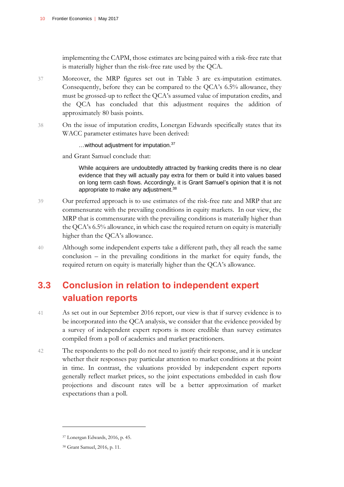implementing the CAPM, those estimates are being paired with a risk-free rate that is materially higher than the risk-free rate used by the QCA.

- 37 Moreover, the MRP figures set out in Table 3 are ex-imputation estimates. Consequently, before they can be compared to the QCA's 6.5% allowance, they must be grossed-up to reflect the QCA's assumed value of imputation credits, and the QCA has concluded that this adjustment requires the addition of approximately 80 basis points.
- 38 On the issue of imputation credits, Lonergan Edwards specifically states that its WACC parameter estimates have been derived:

…without adjustment for imputation.<sup>37</sup>

and Grant Samuel conclude that:

While acquirers are undoubtedly attracted by franking credits there is no clear evidence that they will actually pay extra for them or build it into values based on long term cash flows. Accordingly, it is Grant Samuel's opinion that it is not appropriate to make any adjustment.<sup>38</sup>

- 39 Our preferred approach is to use estimates of the risk-free rate and MRP that are commensurate with the prevailing conditions in equity markets. In our view, the MRP that is commensurate with the prevailing conditions is materially higher than the QCA's 6.5% allowance, in which case the required return on equity is materially higher than the QCA's allowance.
- 40 Although some independent experts take a different path, they all reach the same conclusion – in the prevailing conditions in the market for equity funds, the required return on equity is materially higher than the QCA's allowance.

# **3.3 Conclusion in relation to independent expert valuation reports**

- 41 As set out in our September 2016 report, our view is that if survey evidence is to be incorporated into the QCA analysis, we consider that the evidence provided by a survey of independent expert reports is more credible than survey estimates compiled from a poll of academics and market practitioners.
- 42 The respondents to the poll do not need to justify their response, and it is unclear whether their responses pay particular attention to market conditions at the point in time. In contrast, the valuations provided by independent expert reports generally reflect market prices, so the joint expectations embedded in cash flow projections and discount rates will be a better approximation of market expectations than a poll.

<sup>37</sup> Lonergan Edwards, 2016, p. 45.

<sup>38</sup> Grant Samuel, 2016, p. 11.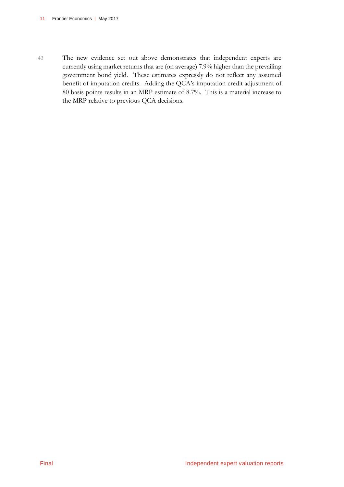43 The new evidence set out above demonstrates that independent experts are currently using market returns that are (on average) 7.9% higher than the prevailing government bond yield. These estimates expressly do not reflect any assumed benefit of imputation credits. Adding the QCA's imputation credit adjustment of 80 basis points results in an MRP estimate of 8.7%. This is a material increase to the MRP relative to previous QCA decisions.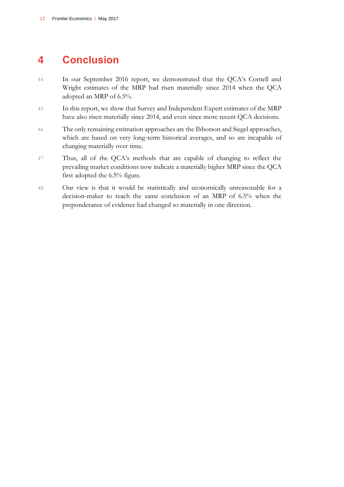# **4 Conclusion**

- 44 In our September 2016 report, we demonstrated that the QCA's Cornell and Wright estimates of the MRP had risen materially since 2014 when the QCA adopted an MRP of 6.5%.
- 45 In this report, we show that Survey and Independent Expert estimates of the MRP have also risen materially since 2014, and even since more recent QCA decisions.
- 46 The only remaining estimation approaches are the Ibbotson and Siegel approaches, which are based on very long-term historical averages, and so are incapable of changing materially over time.
- 47 Thus, all of the QCA's methods that are capable of changing to reflect the prevailing market conditions now indicate a materially higher MRP since the QCA first adopted the 6.5% figure.
- 48 Our view is that it would be statistically and economically unreasonable for a decision-maker to reach the same conclusion of an MRP of 6.5% when the preponderance of evidence had changed so materially in one direction.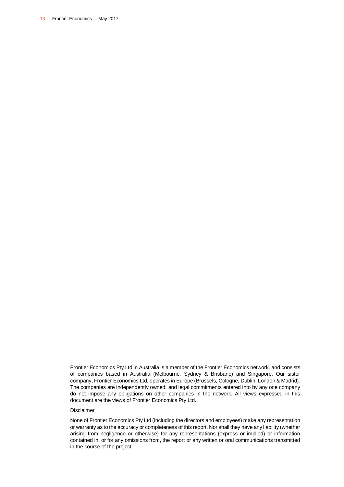Frontier Economics Pty Ltd in Australia is a member of the Frontier Economics network, and consists of companies based in Australia (Melbourne, Sydney & Brisbane) and Singapore. Our sister company, Frontier Economics Ltd, operates in Europe (Brussels, Cologne, Dublin, London & Madrid). The companies are independently owned, and legal commitments entered into by any one company do not impose any obligations on other companies in the network. All views expressed in this document are the views of Frontier Economics Pty Ltd.

#### Disclaimer

None of Frontier Economics Pty Ltd (including the directors and employees) make any representation or warranty as to the accuracy or completeness of this report. Nor shall they have any liability (whether arising from negligence or otherwise) for any representations (express or implied) or information contained in, or for any omissions from, the report or any written or oral communications transmitted in the course of the project.